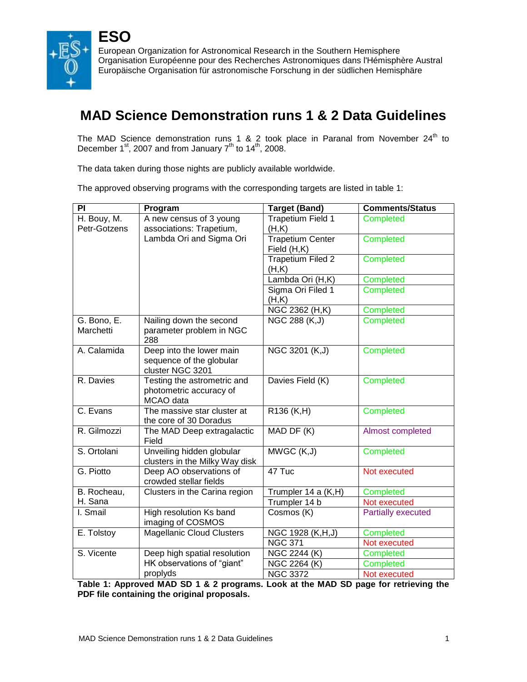

# **MAD Science Demonstration runs 1 & 2 Data Guidelines**

The MAD Science demonstration runs 1 & 2 took place in Paranal from November  $24<sup>th</sup>$  to December 1<sup>st</sup>, 2007 and from January 7<sup>th</sup> to 14<sup>th</sup>, 2008.

The data taken during those nights are publicly available worldwide.

The approved observing programs with the corresponding targets are listed in table 1:

| PI                          | Program                                                                  | <b>Target (Band)</b>              | <b>Comments/Status</b>    |
|-----------------------------|--------------------------------------------------------------------------|-----------------------------------|---------------------------|
| H. Bouy, M.<br>Petr-Gotzens | A new census of 3 young<br>associations: Trapetium,                      | Trapetium Field 1<br>(H,K)        | Completed                 |
|                             | Lambda Ori and Sigma Ori                                                 | Trapetium Center<br>Field (H,K)   | Completed                 |
|                             |                                                                          | <b>Trapetium Filed 2</b><br>(H,K) | Completed                 |
|                             |                                                                          | Lambda Ori (H,K)                  | Completed                 |
|                             |                                                                          | Sigma Ori Filed 1<br>(H,K)        | Completed                 |
|                             |                                                                          | NGC 2362 (H,K)                    | Completed                 |
| G. Bono, E.<br>Marchetti    | Nailing down the second<br>parameter problem in NGC<br>288               | NGC 288 (K, J)                    | <b>Completed</b>          |
| A. Calamida                 | Deep into the lower main<br>sequence of the globular<br>cluster NGC 3201 | NGC 3201 (K,J)                    | Completed                 |
| R. Davies                   | Testing the astrometric and<br>photometric accuracy of<br>MCAO data      | Davies Field (K)                  | <b>Completed</b>          |
| C. Evans                    | The massive star cluster at<br>the core of 30 Doradus                    | R136 (K,H)                        | Completed                 |
| R. Gilmozzi                 | The MAD Deep extragalactic<br>Field                                      | MAD DF (K)                        | Almost completed          |
| S. Ortolani                 | Unveiling hidden globular<br>clusters in the Milky Way disk              | MWGC (K,J)                        | Completed                 |
| G. Piotto                   | Deep AO observations of<br>crowded stellar fields                        | 47 Tuc                            | Not executed              |
| B. Rocheau,                 | Clusters in the Carina region                                            | Trumpler 14 a (K,H)               | Completed                 |
| H. Sana                     |                                                                          | Trumpler 14 b                     | Not executed              |
| I. Smail                    | <b>High resolution Ks band</b><br>imaging of COSMOS                      | Cosmos (K)                        | <b>Partially executed</b> |
| E. Tolstoy                  | <b>Magellanic Cloud Clusters</b>                                         | NGC 1928 (K,H,J)                  | Completed                 |
|                             |                                                                          | <b>NGC 371</b>                    | Not executed              |
| S. Vicente                  | Deep high spatial resolution                                             | <b>NGC 2244 (K)</b>               | Completed                 |
|                             | HK observations of "giant"                                               | $\overline{\text{NGC}}$ 2264 (K)  | Completed                 |
|                             | proplyds                                                                 | <b>NGC 3372</b>                   | Not executed              |

**Table 1: Approved MAD SD 1 & 2 programs. Look at the MAD SD page for retrieving the PDF file containing the original proposals.**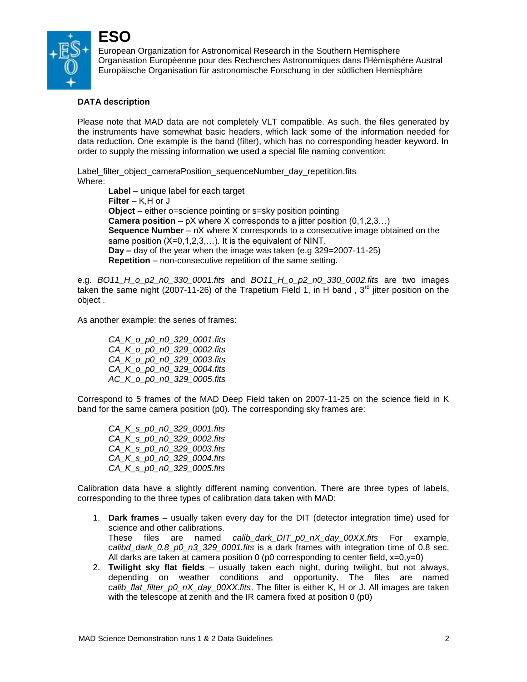

### **DATA description**

**ESO**

Please note that MAD data are not completely VLT compatible. As such, the files generated by the instruments have somewhat basic headers, which lack some of the information needed for data reduction. One example is the band (filter), which has no corresponding header keyword. In order to supply the missing information we used a special file naming convention:

Label filter object cameraPosition sequenceNumber day repetition.fits Where: **Label** – unique label for each target **Filter** – K,H or J **Object** – either o=science pointing or s=sky position pointing **Camera position** – pX where X corresponds to a jitter position (0,1,2,3…) **Sequence Number** – nX where X corresponds to a consecutive image obtained on the same position (X=0,1,2,3,...). It is the equivalent of NINT. **Day –** day of the year when the image was taken (e.g 329=2007-11-25) **Repetition** – non-consecutive repetition of the same setting.

e.g. *BO11\_H\_o\_p2\_n0\_330\_0001.fits* and *BO11\_H\_o\_p2\_n0\_330\_0002.fits* are two images taken the same night (2007-11-26) of the Trapetium Field 1, in H band , 3<sup>rd</sup> jitter position on the object .

As another example: the series of frames:

*CA\_K\_o\_p0\_n0\_329\_0001.fits CA\_K\_o\_p0\_n0\_329\_0002.fits CA\_K\_o\_p0\_n0\_329\_0003.fits CA\_K\_o\_p0\_n0\_329\_0004.fits AC\_K\_o\_p0\_n0\_329\_0005.fits* 

Correspond to 5 frames of the MAD Deep Field taken on 2007-11-25 on the science field in K band for the same camera position (p0). The corresponding sky frames are:

*CA\_K\_s\_p0\_n0\_329\_0001.fits CA\_K\_s\_p0\_n0\_329\_0002.fits CA\_K\_s\_p0\_n0\_329\_0003.fits CA\_K\_s\_p0\_n0\_329\_0004.fits CA\_K\_s\_p0\_n0\_329\_0005.fits* 

Calibration data have a slightly different naming convention. There are three types of labels, corresponding to the three types of calibration data taken with MAD:

- 1. **Dark frames** usually taken every day for the DIT (detector integration time) used for science and other calibrations. These files are named *calib\_dark\_DIT\_p0\_nX\_day\_00XX.fits* For example, *calibd\_dark\_0.8\_p0\_n3\_329\_0001.fits* is a dark frames with integration time of 0.8 sec. All darks are taken at camera position  $0$  (p0 corresponding to center field,  $x=0, y=0$ )
- 2. **Twilight sky flat fields** usually taken each night, during twilight, but not always, depending on weather conditions and opportunity. The files are named *calib\_flat\_filter\_p0\_nX\_day\_00XX.fits*. The filter is either K, H or J. All images are taken with the telescope at zenith and the IR camera fixed at position 0 (p0)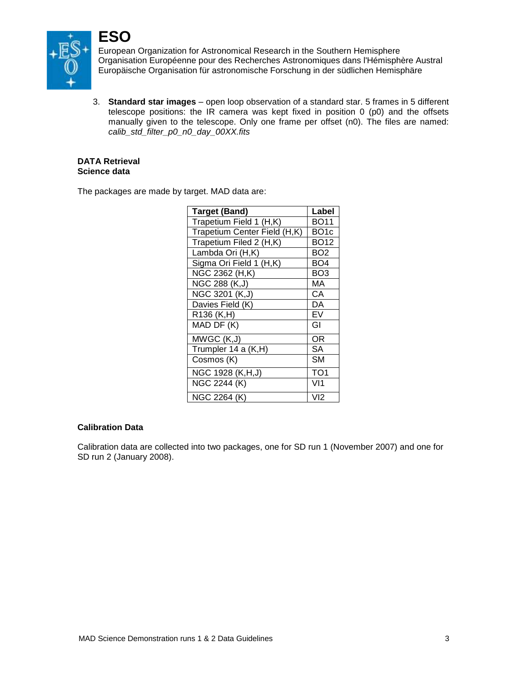

3. **Standard star images** – open loop observation of a standard star. 5 frames in 5 different telescope positions: the IR camera was kept fixed in position 0 (p0) and the offsets manually given to the telescope. Only one frame per offset (n0). The files are named: *calib\_std\_filter\_p0\_n0\_day\_00XX.fits*

#### **DATA Retrieval Science data**

The packages are made by target. MAD data are:

| <b>Target (Band)</b>         | Label             |
|------------------------------|-------------------|
| Trapetium Field 1 (H,K)      | <b>BO11</b>       |
| Trapetium Center Field (H,K) | BO <sub>1</sub> c |
| Trapetium Filed 2 (H,K)      | <b>BO12</b>       |
| Lambda Ori (H,K)             | BO <sub>2</sub>   |
| Sigma Ori Field 1 (H,K)      | BO <sub>4</sub>   |
| NGC 2362 (H,K)               | BO <sub>3</sub>   |
| NGC 288 (K,J)                | МA                |
| NGC 3201 (K,J)               | СA                |
| Davies Field (K)             | DA                |
| R136 (K,H)                   | EV                |
| MAD DF (K)                   | GI                |
| MWGC (K,J)                   | ΟR                |
| Trumpler 14 a (K,H)          | <b>SA</b>         |
| Cosmos (K)                   | SM                |
| NGC 1928 (K,H,J)             | TO <sub>1</sub>   |
| NGC 2244 (K)                 | VI1               |
| NGC 2264 (K)                 | VI2               |

#### **Calibration Data**

Calibration data are collected into two packages, one for SD run 1 (November 2007) and one for SD run 2 (January 2008).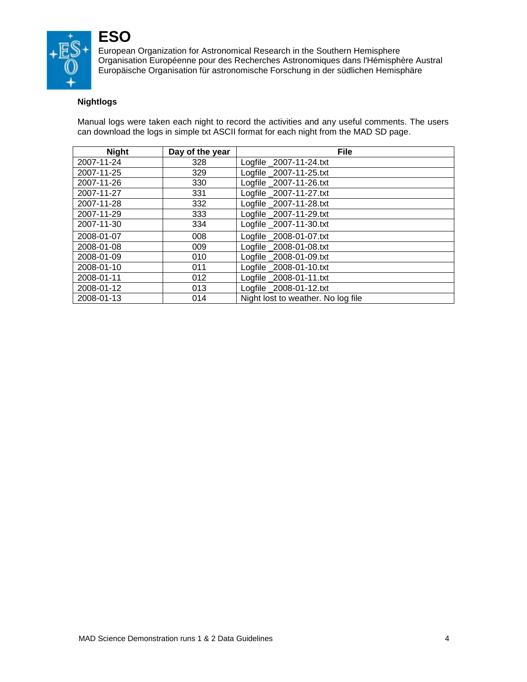

## **ESO**

European Organization for Astronomical Research in the Southern Hemisphere Organisation Européenne pour des Recherches Astronomiques dans l'Hémisphère Austral Europäische Organisation für astronomische Forschung in der südlichen Hemisphäre

## **Nightlogs**

Manual logs were taken each night to record the activities and any useful comments. The users can download the logs in simple txt ASCII format for each night from the MAD SD page.

| <b>Night</b> | Day of the year | <b>File</b>                        |
|--------------|-----------------|------------------------------------|
| 2007-11-24   | 328             | Logfile 2007-11-24.txt             |
| 2007-11-25   | 329             | Logfile 2007-11-25.txt             |
| 2007-11-26   | 330             | Logfile 2007-11-26.txt             |
| 2007-11-27   | 331             | Logfile _2007-11-27.txt            |
| 2007-11-28   | 332             | Logfile 2007-11-28.txt             |
| 2007-11-29   | 333             | Logfile 2007-11-29.txt             |
| 2007-11-30   | 334             | Logfile 2007-11-30.txt             |
| 2008-01-07   | 008             | Logfile 2008-01-07.txt             |
| 2008-01-08   | 009             | Logfile 2008-01-08.txt             |
| 2008-01-09   | 010             | Logfile 2008-01-09.txt             |
| 2008-01-10   | 011             | Logfile 2008-01-10.txt             |
| 2008-01-11   | 012             | Logfile 2008-01-11.txt             |
| 2008-01-12   | 013             | Logfile 2008-01-12.txt             |
| 2008-01-13   | 014             | Night lost to weather. No log file |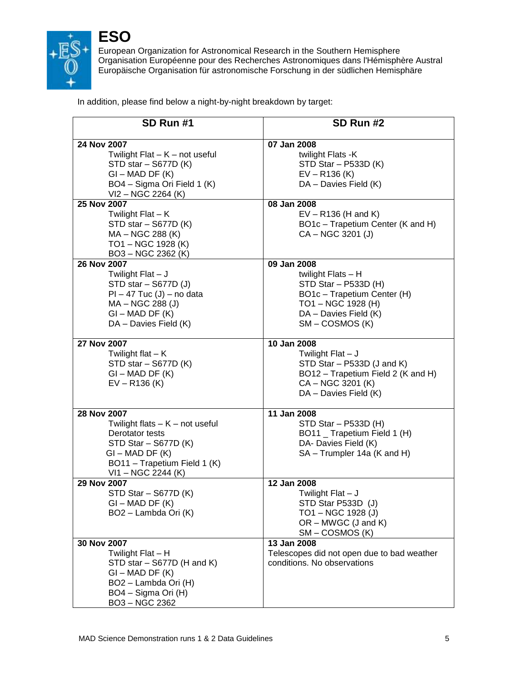

In addition, please find below a night-by-night breakdown by target:

| SD Run #1                                                                                                                                                              | SD Run #2                                                                                                                                                    |
|------------------------------------------------------------------------------------------------------------------------------------------------------------------------|--------------------------------------------------------------------------------------------------------------------------------------------------------------|
| 24 Nov 2007<br>Twilight $Flat - K - not useful$<br>STD star - S677D (K)<br>$GI - MAD DF (K)$<br>BO4 - Sigma Ori Field 1 (K)<br>VI2 – NGC 2264 (K)                      | 07 Jan 2008<br>twilight Flats -K<br>STD Star - P533D (K)<br>$EV - R136$ (K)<br>DA - Davies Field (K)                                                         |
| 25 Nov 2007<br>Twilight Flat - K<br>STD star - S677D (K)<br>MA - NGC 288 (K)<br>TO1-NGC 1928 (K)<br>BO3-NGC 2362 (K)                                                   | 08 Jan 2008<br>$EV - R136$ (H and K)<br>BO1c - Trapetium Center (K and H)<br>CA - NGC 3201 (J)                                                               |
| 26 Nov 2007<br>Twilight Flat - J<br>STD star - S677D (J)<br>$PI - 47$ Tuc $(J)$ – no data<br>MA - NGC 288 (J)<br>$GI - MAD DF (K)$<br>DA - Davies Field (K)            | 09 Jan 2008<br>twilight Flats $- H$<br>$STD Star - P533D (H)$<br>BO1c - Trapetium Center (H)<br>TO1-NGC 1928 (H)<br>DA - Davies Field (K)<br>SM – COSMOS (K) |
| 27 Nov 2007<br>Twilight flat $-K$<br>STD star - S677D (K)<br>$GI - MAD DF (K)$<br>$EV - R136$ (K)                                                                      | 10 Jan 2008<br>Twilight Flat $- J$<br>STD Star - P533D (J and K)<br>BO12 - Trapetium Field 2 (K and H)<br>CA - NGC 3201 (K)<br>DA - Davies Field (K)         |
| 28 Nov 2007<br>Twilight flats $-$ K $-$ not useful<br>Derotator tests<br>STD Star - S677D (K)<br>$GI - MAD DF (K)$<br>BO11 - Trapetium Field 1 (K)<br>VI1-NGC 2244 (K) | 11 Jan 2008<br>$STD Star - P533D (H)$<br>BO11 _ Trapetium Field 1 (H)<br>DA- Davies Field (K)<br>SA - Trumpler 14a (K and H)                                 |
| 29 Nov 2007<br>STD Star - S677D (K)<br>GI – MAD DF (K)<br>BO2 - Lambda Ori (K)                                                                                         | 12 Jan 2008<br>Twilight Flat - J<br>STD Star P533D (J)<br>TO1-NGC 1928 (J)<br>$OR - MWGC$ (J and K)<br>$SM$ – COSMOS $(K)$                                   |
| 30 Nov 2007<br>Twilight Flat - H<br>STD star - S677D (H and K)<br>$GI - MAD DF (K)$<br>BO2 - Lambda Ori (H)<br>BO4 - Sigma Ori (H)<br>BO3-NGC 2362                     | 13 Jan 2008<br>Telescopes did not open due to bad weather<br>conditions. No observations                                                                     |